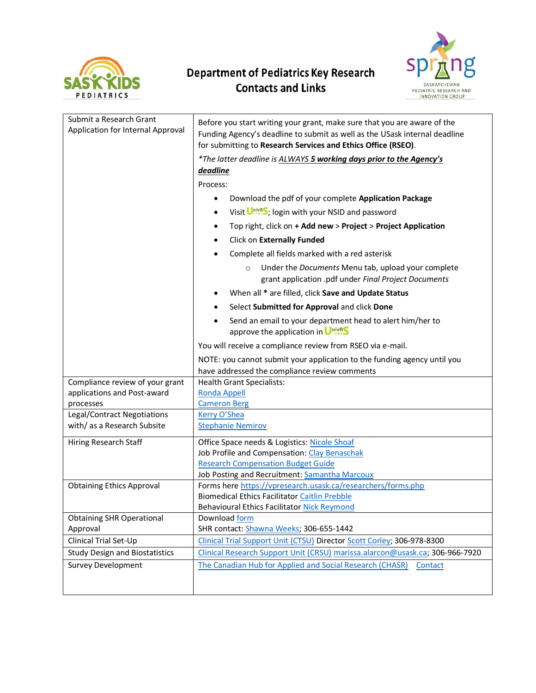

## **Department of Pediatrics Key Research Contacts and Links**



| Submit a Research Grant<br>Application for Internal Approval | Before you start writing your grant, make sure that you are aware of the<br>Funding Agency's deadline to submit as well as the USask internal deadline<br>for submitting to Research Services and Ethics Office (RSEO). |
|--------------------------------------------------------------|-------------------------------------------------------------------------------------------------------------------------------------------------------------------------------------------------------------------------|
|                                                              | *The latter deadline is ALWAYS 5 working days prior to the Agency's                                                                                                                                                     |
|                                                              | deadline                                                                                                                                                                                                                |
|                                                              | Process:                                                                                                                                                                                                                |
|                                                              | Download the pdf of your complete Application Package<br>$\bullet$                                                                                                                                                      |
|                                                              | Visit Unive S; login with your NSID and password<br>$\bullet$                                                                                                                                                           |
|                                                              | Top right, click on + Add new > Project > Project Application<br>٠                                                                                                                                                      |
|                                                              | Click on Externally Funded                                                                                                                                                                                              |
|                                                              | Complete all fields marked with a red asterisk                                                                                                                                                                          |
|                                                              | Under the Documents Menu tab, upload your complete<br>$\circ$<br>grant application .pdf under Final Project Documents                                                                                                   |
|                                                              | When all * are filled, click Save and Update Status                                                                                                                                                                     |
|                                                              | Select Submitted for Approval and click Done                                                                                                                                                                            |
|                                                              | Send an email to your department head to alert him/her to<br>approve the application in Unives                                                                                                                          |
|                                                              | You will receive a compliance review from RSEO via e-mail.                                                                                                                                                              |
|                                                              | NOTE: you cannot submit your application to the funding agency until you                                                                                                                                                |
|                                                              | have addressed the compliance review comments                                                                                                                                                                           |
| Compliance review of your grant                              | <b>Health Grant Specialists:</b>                                                                                                                                                                                        |
| applications and Post-award<br>processes                     | <b>Ronda Appell</b><br><b>Cameron Berg</b>                                                                                                                                                                              |
| Legal/Contract Negotiations                                  | Kerry O'Shea                                                                                                                                                                                                            |
| with/as a Research Subsite                                   | <b>Stephanie Nemirov</b>                                                                                                                                                                                                |
| Hiring Research Staff                                        | Office Space needs & Logistics: Nicole Shoaf                                                                                                                                                                            |
|                                                              | Job Profile and Compensation: Clay Benaschak                                                                                                                                                                            |
|                                                              | <b>Research Compensation Budget Guide</b>                                                                                                                                                                               |
|                                                              | Job Posting and Recruitment: Samantha Marcoux                                                                                                                                                                           |
| <b>Obtaining Ethics Approval</b>                             | Forms here https://vpresearch.usask.ca/researchers/forms.php                                                                                                                                                            |
|                                                              | <b>Biomedical Ethics Facilitator Caitlin Prebble</b>                                                                                                                                                                    |
|                                                              | Behavioural Ethics Facilitator Nick Reymond                                                                                                                                                                             |
| <b>Obtaining SHR Operational</b><br>Approval                 | Download form<br>SHR contact: Shawna Weeks; 306-655-1442                                                                                                                                                                |
| Clinical Trial Set-Up                                        | Clinical Trial Support Unit (CTSU) Director Scott Corley; 306-978-8300                                                                                                                                                  |
| <b>Study Design and Biostatistics</b>                        | Clinical Research Support Unit (CRSU) marissa.alarcon@usask.ca; 306-966-7920                                                                                                                                            |
| <b>Survey Development</b>                                    | The Canadian Hub for Applied and Social Research (CHASR)<br>Contact                                                                                                                                                     |
|                                                              |                                                                                                                                                                                                                         |